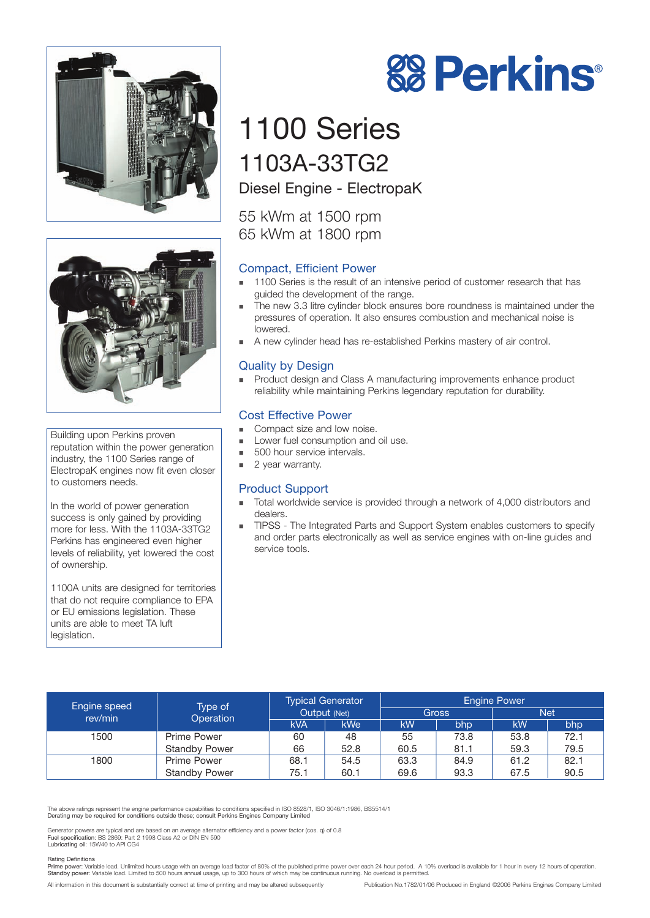



Building upon Perkins proven reputation within the power generation industry, the 1100 Series range of ElectropaK engines now fit even closer to customers needs.

In the world of power generation success is only gained by providing more for less. With the 1103A-33TG2 Perkins has engineered even higher levels of reliability, yet lowered the cost of ownership.

1100A units are designed for territories that do not require compliance to EPA or EU emissions legislation. These units are able to meet TA luft legislation.

# 1100 Series 1103A-33TG2

Diesel Engine - ElectropaK

55 kWm at 1500 rpm 65 kWm at 1800 rpm

#### Compact, Efficient Power

- 1100 Series is the result of an intensive period of customer research that has guided the development of the range.

**88 Perkins®** 

- - The new 3.3 litre cylinder block ensures bore roundness is maintained under the pressures of operation. It also ensures combustion and mechanical noise is lowered.
- -A new cylinder head has re-established Perkins mastery of air control.

#### Quality by Design

- Product design and Class A manufacturing improvements enhance product reliability while maintaining Perkins legendary reputation for durability.

#### Cost Effective Power

- -Compact size and low noise.
- -Lower fuel consumption and oil use.
- -500 hour service intervals.
- -2 year warranty.

#### Product Support

- - Total worldwide service is provided through a network of 4,000 distributors and dealers.
- - TIPSS - The Integrated Parts and Support System enables customers to specify and order parts electronically as well as service engines with on-line guides and service tools.

| <b>Engine speed</b><br>rev/min | Type of<br>Operation | <b>Typical Generator</b><br>Output (Net) |            | <b>Engine Power</b><br><b>Net</b><br>Gross |      |      |      |
|--------------------------------|----------------------|------------------------------------------|------------|--------------------------------------------|------|------|------|
|                                |                      | kVA                                      | <b>kWe</b> | kW                                         | bhp  | kW   | bhp  |
| 1500                           | <b>Prime Power</b>   | 60                                       | 48         | 55                                         | 73.8 | 53.8 | 72.1 |
|                                | <b>Standby Power</b> | 66                                       | 52.8       | 60.5                                       | 81.1 | 59.3 | 79.5 |
| 1800                           | <b>Prime Power</b>   | 68.1                                     | 54.5       | 63.3                                       | 84.9 | 61.2 | 82.1 |
|                                | <b>Standby Power</b> | 75.1                                     | 60.1       | 69.6                                       | 93.3 | 67.5 | 90.5 |

The above ratings represent the engine performance capabilities to conditions specified in ISO 8528/1, ISO 3046/1:1986, BS5514/1 Derating may be required for conditions outside these; consult Perkins Engines Company Limited

Generator powers are typical and are based on an average alternator efficiency and a power factor (cos. q) of 0.8<br>Fuel specification: BS 2869: Part 2 1998 Class A2 or DIN EN 590<br>Lubricating oil: 15W40 to API CG4

#### Rating Definitions

Prime power: Variable load. Unlimited hours usage with an average load factor of 80% of the published prime power over each 24 hour period. A 10% overload is available for 1 hour in every 12 hours of operation<br>Standby powe

All information in this document is substantially correct at time of printing and may be altered subsequently Publication No.1782/01/06 Produced in England ©2006 Perkins Engines Company Limited